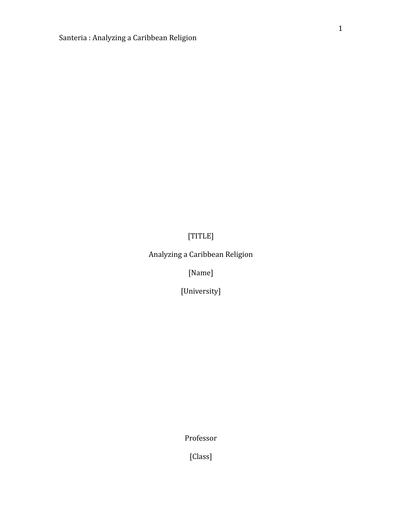[TITLE]

Analyzing a Caribbean Religion

[Name]

[University]

Professor

[Class]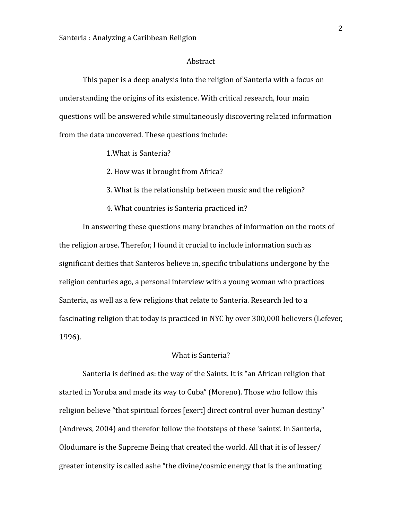### Abstract

This paper is a deep analysis into the religion of Santeria with a focus on understanding the origins of its existence. With critical research, four main questions will be answered while simultaneously discovering related information from the data uncovered. These questions include:

### 1. What is Santeria?

2. How was it brought from Africa?

3. What is the relationship between music and the religion?

4. What countries is Santeria practiced in?

In answering these questions many branches of information on the roots of the religion arose. Therefor, I found it crucial to include information such as significant deities that Santeros believe in, specific tribulations undergone by the religion centuries ago, a personal interview with a young woman who practices Santeria, as well as a few religions that relate to Santeria. Research led to a fascinating religion that today is practiced in NYC by over 300,000 believers (Lefever, 1996). 

### What is Santeria?

Santeria is defined as: the way of the Saints. It is "an African religion that started in Yoruba and made its way to Cuba" (Moreno). Those who follow this religion believe "that spiritual forces [exert] direct control over human destiny" (Andrews, 2004) and therefor follow the footsteps of these 'saints'. In Santeria, Olodumare is the Supreme Being that created the world. All that it is of lesser/ greater intensity is called ashe "the divine/cosmic energy that is the animating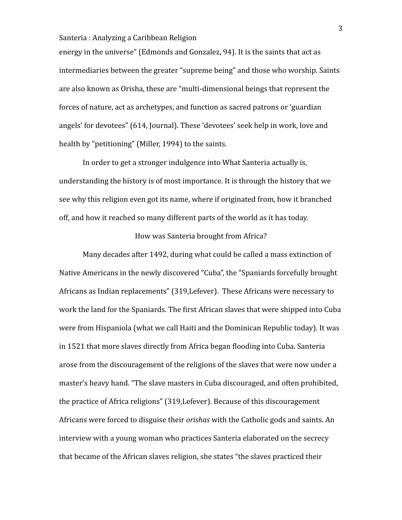energy in the universe" (Edmonds and Gonzalez, 94). It is the saints that act as intermediaries between the greater "supreme being" and those who worship. Saints are also known as Orisha, these are "multi-dimensional beings that represent the forces of nature, act as archetypes, and function as sacred patrons or 'guardian angels' for devotees" (614, Journal). These 'devotees' seek help in work, love and health by "petitioning" (Miller, 1994) to the saints.

In order to get a stronger indulgence into What Santeria actually is, understanding the history is of most importance. It is through the history that we see why this religion even got its name, where if originated from, how it branched off, and how it reached so many different parts of the world as it has today.

### How was Santeria brought from Africa?

Many decades after 1492, during what could be called a mass extinction of Native Americans in the newly discovered "Cuba", the "Spaniards forcefully brought Africans as Indian replacements" (319, Lefever). These Africans were necessary to work the land for the Spaniards. The first African slaves that were shipped into Cuba were from Hispaniola (what we call Haiti and the Dominican Republic today). It was in 1521 that more slaves directly from Africa began flooding into Cuba. Santeria arose from the discouragement of the religions of the slaves that were now under a master's heavy hand. "The slave masters in Cuba discouraged, and often prohibited, the practice of Africa religions" (319, Lefever). Because of this discouragement Africans were forced to disguise their *orishas* with the Catholic gods and saints. An interview with a young woman who practices Santeria elaborated on the secrecy that became of the African slaves religion, she states "the slaves practiced their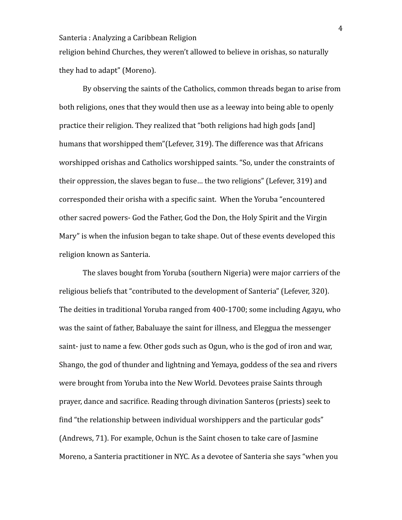religion behind Churches, they weren't allowed to believe in orishas, so naturally they had to adapt" (Moreno).

By observing the saints of the Catholics, common threads began to arise from both religions, ones that they would then use as a leeway into being able to openly practice their religion. They realized that "both religions had high gods [and] humans that worshipped them"(Lefever, 319). The difference was that Africans worshipped orishas and Catholics worshipped saints. "So, under the constraints of their oppression, the slaves began to fuse... the two religions" (Lefever, 319) and corresponded their orisha with a specific saint. When the Yoruba "encountered" other sacred powers- God the Father, God the Don, the Holy Spirit and the Virgin Mary" is when the infusion began to take shape. Out of these events developed this religion known as Santeria.

The slaves bought from Yoruba (southern Nigeria) were major carriers of the religious beliefs that "contributed to the development of Santeria" (Lefever, 320). The deities in traditional Yoruba ranged from 400-1700; some including Agayu, who was the saint of father, Babaluaye the saint for illness, and Eleggua the messenger saint- just to name a few. Other gods such as Ogun, who is the god of iron and war, Shango, the god of thunder and lightning and Yemaya, goddess of the sea and rivers were brought from Yoruba into the New World. Devotees praise Saints through prayer, dance and sacrifice. Reading through divination Santeros (priests) seek to find "the relationship between individual worshippers and the particular gods" (Andrews, 71). For example, Ochun is the Saint chosen to take care of Jasmine Moreno, a Santeria practitioner in NYC. As a devotee of Santeria she says "when you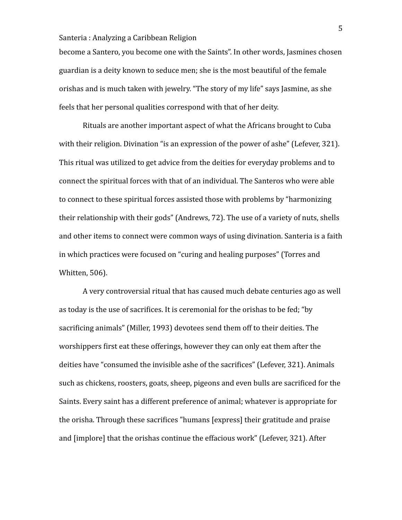become a Santero, you become one with the Saints". In other words, Jasmines chosen guardian is a deity known to seduce men; she is the most beautiful of the female orishas and is much taken with jewelry. "The story of my life" says Jasmine, as she feels that her personal qualities correspond with that of her deity.

Rituals are another important aspect of what the Africans brought to Cuba with their religion. Divination "is an expression of the power of ashe" (Lefever,  $321$ ). This ritual was utilized to get advice from the deities for everyday problems and to connect the spiritual forces with that of an individual. The Santeros who were able to connect to these spiritual forces assisted those with problems by "harmonizing" their relationship with their gods" (Andrews, 72). The use of a variety of nuts, shells and other items to connect were common ways of using divination. Santeria is a faith in which practices were focused on "curing and healing purposes" (Torres and Whitten, 506).

A very controversial ritual that has caused much debate centuries ago as well as today is the use of sacrifices. It is ceremonial for the orishas to be fed; "by sacrificing animals" (Miller, 1993) devotees send them off to their deities. The worshippers first eat these offerings, however they can only eat them after the deities have "consumed the invisible ashe of the sacrifices" (Lefever, 321). Animals such as chickens, roosters, goats, sheep, pigeons and even bulls are sacrificed for the Saints. Every saint has a different preference of animal; whatever is appropriate for the orisha. Through these sacrifices "humans [express] their gratitude and praise and [implore] that the orishas continue the effacious work" (Lefever, 321). After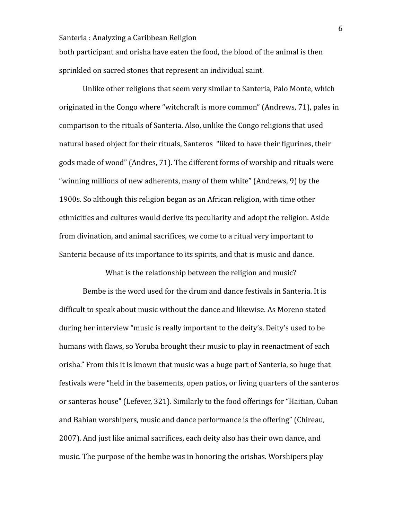both participant and orisha have eaten the food, the blood of the animal is then sprinkled on sacred stones that represent an individual saint.

Unlike other religions that seem very similar to Santeria, Palo Monte, which originated in the Congo where "witchcraft is more common" (Andrews, 71), pales in comparison to the rituals of Santeria. Also, unlike the Congo religions that used natural based object for their rituals, Santeros "liked to have their figurines, their gods made of wood" (Andres, 71). The different forms of worship and rituals were "winning millions of new adherents, many of them white" (Andrews, 9) by the 1900s. So although this religion began as an African religion, with time other ethnicities and cultures would derive its peculiarity and adopt the religion. Aside from divination, and animal sacrifices, we come to a ritual very important to Santeria because of its importance to its spirits, and that is music and dance.

What is the relationship between the religion and music?

Bembe is the word used for the drum and dance festivals in Santeria. It is difficult to speak about music without the dance and likewise. As Moreno stated during her interview "music is really important to the deity's. Deity's used to be humans with flaws, so Yoruba brought their music to play in reenactment of each orisha." From this it is known that music was a huge part of Santeria, so huge that festivals were "held in the basements, open patios, or living quarters of the santeros or santeras house" (Lefever, 321). Similarly to the food offerings for "Haitian, Cuban and Bahian worshipers, music and dance performance is the offering" (Chireau, 2007). And just like animal sacrifices, each deity also has their own dance, and music. The purpose of the bembe was in honoring the orishas. Worshipers play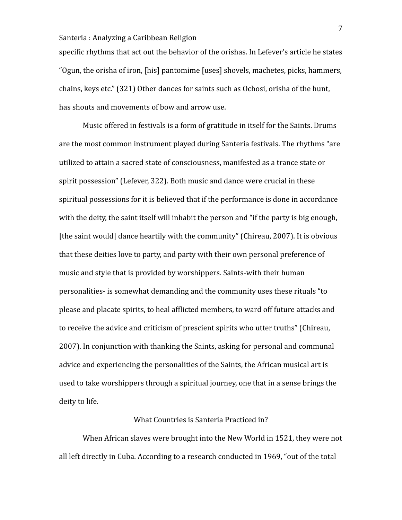specific rhythms that act out the behavior of the orishas. In Lefever's article he states "Ogun, the orisha of iron, [his] pantomime [uses] shovels, machetes, picks, hammers, chains, keys etc." (321) Other dances for saints such as Ochosi, orisha of the hunt, has shouts and movements of bow and arrow use.

Music offered in festivals is a form of gratitude in itself for the Saints. Drums are the most common instrument played during Santeria festivals. The rhythms "are utilized to attain a sacred state of consciousness, manifested as a trance state or spirit possession" (Lefever, 322). Both music and dance were crucial in these spiritual possessions for it is believed that if the performance is done in accordance with the deity, the saint itself will inhabit the person and "if the party is big enough, [the saint would] dance heartily with the community" (Chireau, 2007). It is obvious that these deities love to party, and party with their own personal preference of music and style that is provided by worshippers. Saints-with their human personalities- is somewhat demanding and the community uses these rituals "to please and placate spirits, to heal afflicted members, to ward off future attacks and to receive the advice and criticism of prescient spirits who utter truths" (Chireau, 2007). In conjunction with thanking the Saints, asking for personal and communal advice and experiencing the personalities of the Saints, the African musical art is used to take worshippers through a spiritual journey, one that in a sense brings the deity to life.

# What Countries is Santeria Practiced in?

When African slaves were brought into the New World in 1521, they were not all left directly in Cuba. According to a research conducted in 1969, "out of the total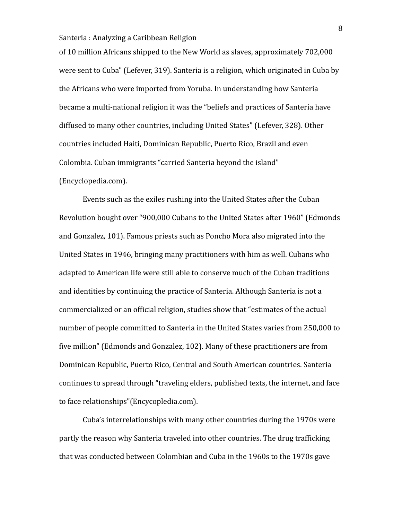of 10 million Africans shipped to the New World as slaves, approximately 702,000 were sent to Cuba" (Lefever, 319). Santeria is a religion, which originated in Cuba by the Africans who were imported from Yoruba. In understanding how Santeria became a multi-national religion it was the "beliefs and practices of Santeria have diffused to many other countries, including United States" (Lefever, 328). Other countries included Haiti, Dominican Republic, Puerto Rico, Brazil and even Colombia. Cuban immigrants "carried Santeria beyond the island" (Encyclopedia.com). 

Events such as the exiles rushing into the United States after the Cuban Revolution bought over "900,000 Cubans to the United States after 1960" (Edmonds and Gonzalez, 101). Famous priests such as Poncho Mora also migrated into the United States in 1946, bringing many practitioners with him as well. Cubans who adapted to American life were still able to conserve much of the Cuban traditions and identities by continuing the practice of Santeria. Although Santeria is not a commercialized or an official religion, studies show that "estimates of the actual number of people committed to Santeria in the United States varies from 250,000 to five million" (Edmonds and Gonzalez, 102). Many of these practitioners are from Dominican Republic, Puerto Rico, Central and South American countries. Santeria continues to spread through "traveling elders, published texts, the internet, and face to face relationships"(Encycopledia.com).

Cuba's interrelationships with many other countries during the 1970s were partly the reason why Santeria traveled into other countries. The drug trafficking that was conducted between Colombian and Cuba in the 1960s to the 1970s gave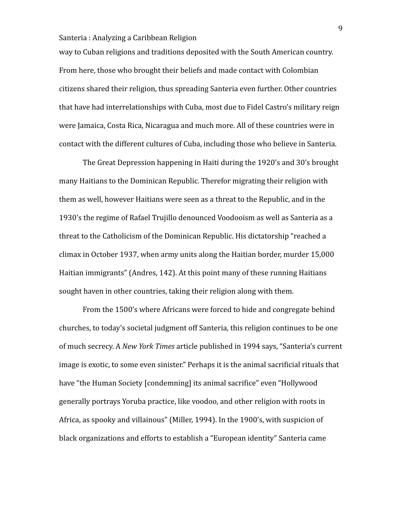way to Cuban religions and traditions deposited with the South American country. From here, those who brought their beliefs and made contact with Colombian citizens shared their religion, thus spreading Santeria even further. Other countries that have had interrelationships with Cuba, most due to Fidel Castro's military reign were Jamaica, Costa Rica, Nicaragua and much more. All of these countries were in contact with the different cultures of Cuba, including those who believe in Santeria.

The Great Depression happening in Haiti during the 1920's and 30's brought many Haitians to the Dominican Republic. Therefor migrating their religion with them as well, however Haitians were seen as a threat to the Republic, and in the 1930's the regime of Rafael Trujillo denounced Voodooism as well as Santeria as a threat to the Catholicism of the Dominican Republic. His dictatorship "reached a climax in October 1937, when army units along the Haitian border, murder 15,000 Haitian immigrants" (Andres,  $142$ ). At this point many of these running Haitians sought haven in other countries, taking their religion along with them.

From the 1500's where Africans were forced to hide and congregate behind churches, to today's societal judgment off Santeria, this religion continues to be one of much secrecy. A *New York Times* article published in 1994 says, "Santeria's current image is exotic, to some even sinister." Perhaps it is the animal sacrificial rituals that have "the Human Society [condemning] its animal sacrifice" even "Hollywood generally portrays Yoruba practice, like voodoo, and other religion with roots in Africa, as spooky and villainous" (Miller, 1994). In the 1900's, with suspicion of black organizations and efforts to establish a "European identity" Santeria came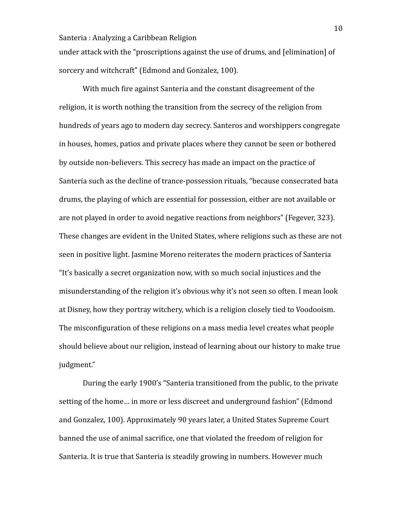under attack with the "proscriptions against the use of drums, and [elimination] of sorcery and witchcraft" (Edmond and Gonzalez, 100).

With much fire against Santeria and the constant disagreement of the religion, it is worth nothing the transition from the secrecy of the religion from hundreds of years ago to modern day secrecy. Santeros and worshippers congregate in houses, homes, patios and private places where they cannot be seen or bothered by outside non-believers. This secrecy has made an impact on the practice of Santeria such as the decline of trance-possession rituals, "because consecrated bata drums, the playing of which are essential for possession, either are not available or are not played in order to avoid negative reactions from neighbors" (Fegever, 323). These changes are evident in the United States, where religions such as these are not seen in positive light. Jasmine Moreno reiterates the modern practices of Santeria "It's basically a secret organization now, with so much social injustices and the misunderstanding of the religion it's obvious why it's not seen so often. I mean look at Disney, how they portray witchery, which is a religion closely tied to Voodooism. The misconfiguration of these religions on a mass media level creates what people should believe about our religion, instead of learning about our history to make true judgment." 

During the early 1900's "Santeria transitioned from the public, to the private setting of the home... in more or less discreet and underground fashion" (Edmond and Gonzalez, 100). Approximately 90 years later, a United States Supreme Court banned the use of animal sacrifice, one that violated the freedom of religion for Santeria. It is true that Santeria is steadily growing in numbers. However much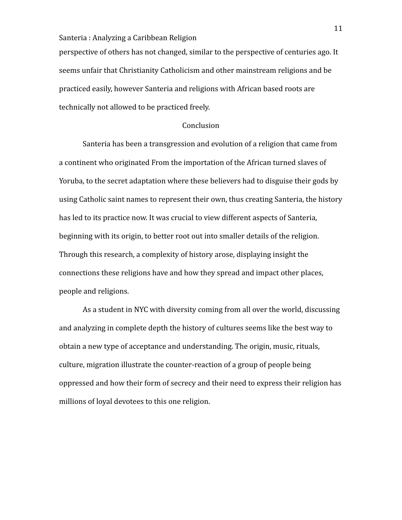perspective of others has not changed, similar to the perspective of centuries ago. It seems unfair that Christianity Catholicism and other mainstream religions and be practiced easily, however Santeria and religions with African based roots are technically not allowed to be practiced freely.

### Conclusion

Santeria has been a transgression and evolution of a religion that came from a continent who originated From the importation of the African turned slaves of Yoruba, to the secret adaptation where these believers had to disguise their gods by using Catholic saint names to represent their own, thus creating Santeria, the history has led to its practice now. It was crucial to view different aspects of Santeria, beginning with its origin, to better root out into smaller details of the religion. Through this research, a complexity of history arose, displaying insight the connections these religions have and how they spread and impact other places, people and religions.

As a student in NYC with diversity coming from all over the world, discussing and analyzing in complete depth the history of cultures seems like the best way to obtain a new type of acceptance and understanding. The origin, music, rituals, culture, migration illustrate the counter-reaction of a group of people being oppressed and how their form of secrecy and their need to express their religion has millions of loyal devotees to this one religion.